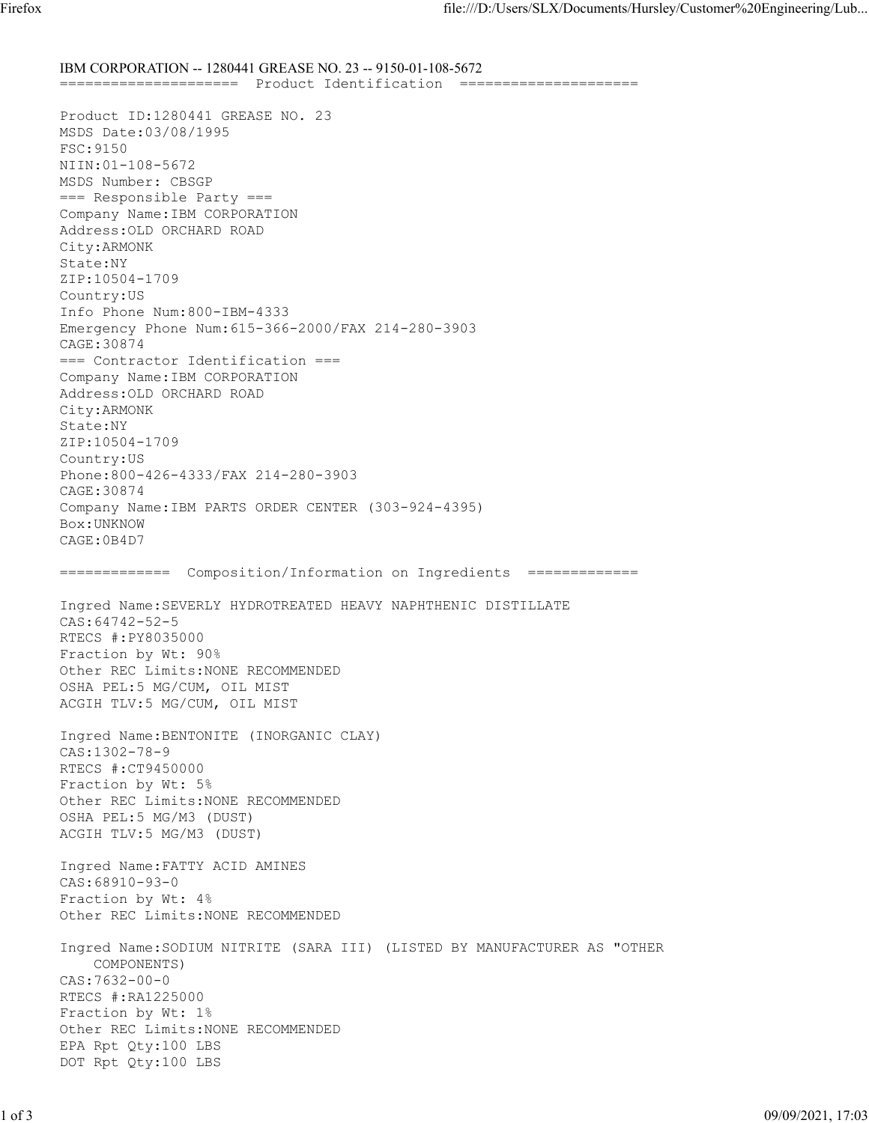IBM CORPORATION -- 1280441 GREASE NO. 23 -- 9150-01-108-5672 ===================== Product Identification ===================== Product ID:1280441 GREASE NO. 23 MSDS Date:03/08/1995 FSC:9150 NIIN:01-108-5672 MSDS Number: CBSGP === Responsible Party === Company Name:IBM CORPORATION Address:OLD ORCHARD ROAD City:ARMONK State:NY ZIP:10504-1709 Country:US Info Phone Num:800-IBM-4333 Emergency Phone Num:615-366-2000/FAX 214-280-3903 CAGE:30874 === Contractor Identification === Company Name:IBM CORPORATION Address:OLD ORCHARD ROAD City:ARMONK State:NY ZIP:10504-1709 Country:US Phone:800-426-4333/FAX 214-280-3903 CAGE:30874 Company Name:IBM PARTS ORDER CENTER (303-924-4395) Box:UNKNOW CAGE:0B4D7 ============= Composition/Information on Ingredients ============= Ingred Name:SEVERLY HYDROTREATED HEAVY NAPHTHENIC DISTILLATE CAS:64742-52-5 RTECS #:PY8035000 Fraction by Wt: 90% Other REC Limits:NONE RECOMMENDED OSHA PEL:5 MG/CUM, OIL MIST ACGIH TLV:5 MG/CUM, OIL MIST Ingred Name:BENTONITE (INORGANIC CLAY) CAS:1302-78-9 RTECS #:CT9450000 Fraction by Wt: 5% Other REC Limits:NONE RECOMMENDED OSHA PEL:5 MG/M3 (DUST) ACGIH TLV:5 MG/M3 (DUST) Ingred Name:FATTY ACID AMINES CAS:68910-93-0 Fraction by Wt: 4% Other REC Limits:NONE RECOMMENDED Ingred Name:SODIUM NITRITE (SARA III) (LISTED BY MANUFACTURER AS "OTHER COMPONENTS) CAS:7632-00-0 RTECS #:RA1225000 Fraction by Wt: 1% Other REC Limits:NONE RECOMMENDED EPA Rpt Qty:100 LBS DOT Rpt Qty:100 LBS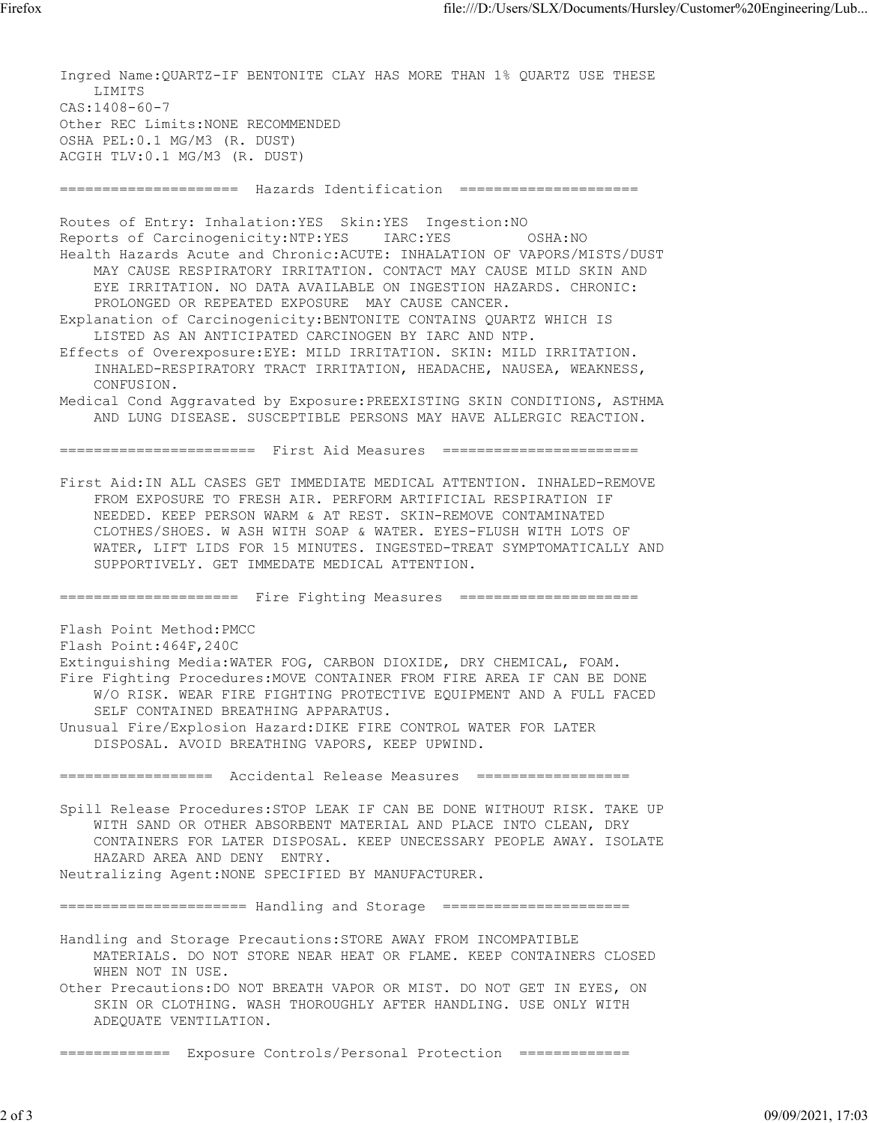Ingred Name:QUARTZ-IF BENTONITE CLAY HAS MORE THAN 1% QUARTZ USE THESE LIMITS CAS:1408-60-7 Other REC Limits:NONE RECOMMENDED OSHA PEL:0.1 MG/M3 (R. DUST) ACGIH TLV:0.1 MG/M3 (R. DUST) ===================== Hazards Identification ===================== Routes of Entry: Inhalation:YES Skin:YES Ingestion:NO Reports of Carcinogenicity:NTP:YES IARC:YES OSHA:NO Health Hazards Acute and Chronic:ACUTE: INHALATION OF VAPORS/MISTS/DUST MAY CAUSE RESPIRATORY IRRITATION. CONTACT MAY CAUSE MILD SKIN AND EYE IRRITATION. NO DATA AVAILABLE ON INGESTION HAZARDS. CHRONIC: PROLONGED OR REPEATED EXPOSURE MAY CAUSE CANCER. Explanation of Carcinogenicity:BENTONITE CONTAINS QUARTZ WHICH IS LISTED AS AN ANTICIPATED CARCINOGEN BY IARC AND NTP. Effects of Overexposure:EYE: MILD IRRITATION. SKIN: MILD IRRITATION. INHALED-RESPIRATORY TRACT IRRITATION, HEADACHE, NAUSEA, WEAKNESS, CONFUSION. Medical Cond Aggravated by Exposure:PREEXISTING SKIN CONDITIONS, ASTHMA AND LUNG DISEASE. SUSCEPTIBLE PERSONS MAY HAVE ALLERGIC REACTION. ======================= First Aid Measures ======================= First Aid:IN ALL CASES GET IMMEDIATE MEDICAL ATTENTION. INHALED-REMOVE FROM EXPOSURE TO FRESH AIR. PERFORM ARTIFICIAL RESPIRATION IF NEEDED. KEEP PERSON WARM & AT REST. SKIN-REMOVE CONTAMINATED CLOTHES/SHOES. W ASH WITH SOAP & WATER. EYES-FLUSH WITH LOTS OF WATER, LIFT LIDS FOR 15 MINUTES. INGESTED-TREAT SYMPTOMATICALLY AND SUPPORTIVELY. GET IMMEDATE MEDICAL ATTENTION. ===================== Fire Fighting Measures ===================== Flash Point Method:PMCC Flash Point:464F,240C Extinguishing Media:WATER FOG, CARBON DIOXIDE, DRY CHEMICAL, FOAM. Fire Fighting Procedures:MOVE CONTAINER FROM FIRE AREA IF CAN BE DONE W/O RISK. WEAR FIRE FIGHTING PROTECTIVE EQUIPMENT AND A FULL FACED SELF CONTAINED BREATHING APPARATUS. Unusual Fire/Explosion Hazard:DIKE FIRE CONTROL WATER FOR LATER DISPOSAL. AVOID BREATHING VAPORS, KEEP UPWIND. ================== Accidental Release Measures ================== Spill Release Procedures:STOP LEAK IF CAN BE DONE WITHOUT RISK. TAKE UP WITH SAND OR OTHER ABSORBENT MATERIAL AND PLACE INTO CLEAN, DRY CONTAINERS FOR LATER DISPOSAL. KEEP UNECESSARY PEOPLE AWAY. ISOLATE HAZARD AREA AND DENY ENTRY. Neutralizing Agent:NONE SPECIFIED BY MANUFACTURER. ====================== Handling and Storage ====================== Handling and Storage Precautions:STORE AWAY FROM INCOMPATIBLE MATERIALS. DO NOT STORE NEAR HEAT OR FLAME. KEEP CONTAINERS CLOSED WHEN NOT IN USE. Other Precautions:DO NOT BREATH VAPOR OR MIST. DO NOT GET IN EYES, ON SKIN OR CLOTHING. WASH THOROUGHLY AFTER HANDLING. USE ONLY WITH ADEQUATE VENTILATION.

============= Exposure Controls/Personal Protection =============